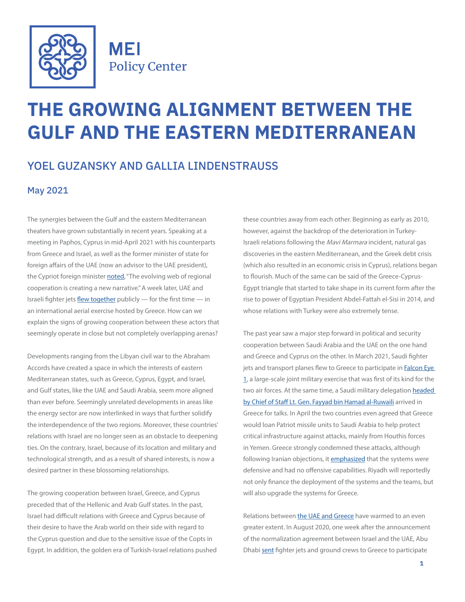

**MEI Policy Center** 

# **THE GROWING ALIGNMENT BETWEEN THE GULF AND THE EASTERN MEDITERRANEAN**

## YOEL GUZANSKY AND GALLIA LINDENSTRAUSS

#### May 2021

The synergies between the Gulf and the eastern Mediterranean theaters have grown substantially in recent years. Speaking at a meeting in Paphos, Cyprus in mid-April 2021 with his counterparts from Greece and Israel, as well as the former minister of state for foreign affairs of the UAE (now an advisor to the UAE president), the Cypriot foreign minister [noted](https://www.reuters.com/world/middle-east/lets-shake-narrative-bickering-middle-east-say-former-foes-2021-04-16/), "The evolving web of regional cooperation is creating a new narrative." A week later, UAE and Israeli fighter jets [flew together](https://www.timesofisrael.com/israeli-uae-fighter-jets-fly-together-in-large-international-exercise-in-greece/) publicly — for the first time — in an international aerial exercise hosted by Greece. How can we explain the signs of growing cooperation between these actors that seemingly operate in close but not completely overlapping arenas?

Developments ranging from the Libyan civil war to the Abraham Accords have created a space in which the interests of eastern Mediterranean states, such as Greece, Cyprus, Egypt, and Israel, and Gulf states, like the UAE and Saudi Arabia, seem more aligned than ever before. Seemingly unrelated developments in areas like the energy sector are now interlinked in ways that further solidify the interdependence of the two regions. Moreover, these countries' relations with Israel are no longer seen as an obstacle to deepening ties. On the contrary, Israel, because of its location and military and technological strength, and as a result of shared interests, is now a desired partner in these blossoming relationships.

The growing cooperation between Israel, Greece, and Cyprus preceded that of the Hellenic and Arab Gulf states. In the past, Israel had difficult relations with Greece and Cyprus because of their desire to have the Arab world on their side with regard to the Cyprus question and due to the sensitive issue of the Copts in Egypt. In addition, the golden era of Turkish-Israel relations pushed these countries away from each other. Beginning as early as 2010, however, against the backdrop of the deterioration in Turkey-Israeli relations following the Mavi Marmara incident, natural gas discoveries in the eastern Mediterranean, and the Greek debt crisis (which also resulted in an economic crisis in Cyprus), relations began to flourish. Much of the same can be said of the Greece-Cyprus-Egypt triangle that started to take shape in its current form after the rise to power of Egyptian President Abdel-Fattah el-Sisi in 2014, and whose relations with Turkey were also extremely tense.

The past year saw a major step forward in political and security cooperation between Saudi Arabia and the UAE on the one hand and Greece and Cyprus on the other. In March 2021, Saudi fighter jets and transport planes flew to Greece to participate in **Falcon Eye** [1](https://www.arabnews.com/node/1826716/saudi-arabia), a large-scale joint military exercise that was first of its kind for the two air forces. At the same time, a Saudi military delegation [headed](https://saudigazette.com.sa/article/604594/SAUDI-ARABIA/Saudi-Chief-of-General-Staff-visits-Greece-attends-Falcon-Eye-1-drill-maneuvers)  [by Chief of Staff Lt. Gen. Fayyad bin Hamad al-Ruwaili](https://saudigazette.com.sa/article/604594/SAUDI-ARABIA/Saudi-Chief-of-General-Staff-visits-Greece-attends-Falcon-Eye-1-drill-maneuvers) arrived in Greece for talks. In April the two countries even agreed that Greece would loan Patriot missile units to Saudi Arabia to help protect critical infrastructure against attacks, mainly from Houthis forces in Yemen. Greece strongly condemned these attacks, although following Iranian objections, it [emphasized](https://www.forbes.com/sites/pauliddon/2021/03/31/how-significant-is-greeces-growing-military-cooperation-with-the-uae-and-saudi-arabia/?sh=3f02c22719ef) that the systems were defensive and had no offensive capabilities. Riyadh will reportedly not only finance the deployment of the systems and the teams, but will also upgrade the systems for Greece.

Relations between [the UAE and Greece](https://www.inss.org.il/publication/greece-cyprus-gulf/?offset=2&posts=221&outher=Yoel%20Guzansky) have warmed to an even greater extent. In August 2020, one week after the announcement of the normalization agreement between Israel and the UAE, Abu Dhabi [sent](https://www.jpost.com/middle-east/uae-sends-f-16-jets-to-crete-for-joint-drills-with-greece-639739) fighter jets and ground crews to Greece to participate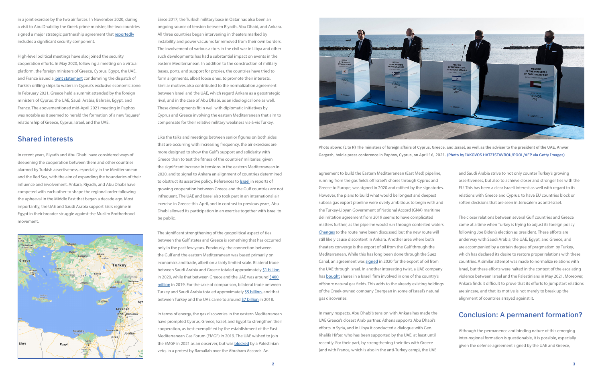## Conclusion: A permanent formation?

Although the permanence and binding nature of this emerging inter-regional formation is questionable, it is possible, especially given the defense agreement signed by the UAE and Greece,

and Saudi Arabia strive to not only counter Turkey's growing assertiveness, but also to achieve closer and stronger ties with the EU. This has been a clear Israeli interest as well with regard to its relations with Greece and Cyprus: to have EU countries block or soften decisions that are seen in Jerusalem as anti-Israel. The closer relations between several Gulf countries and Greece come at a time when Turkey is trying to adjust its foreign policy following Joe Biden's election as president. These efforts are underway with Saudi Arabia, the UAE, Egypt, and Greece, and are accompanied by a certain degree of pragmatism by Turkey, which has declared its desire to restore proper relations with these countries. A similar attempt was made to normalize relations with Israel, but these efforts were halted in the context of the escalating violence between Israel and the Palestinians in May 2021. Moreover, Ankara finds it difficult to prove that its efforts to jumpstart relations are sincere, and that its motive is not merely to break up the alignment of countries arrayed against it. agreement to build the Eastern Mediterranean (East Med) pipeline, running from the gas fields off Israel's shores through Cyprus and Greece to Europe, was signed in 2020 and ratified by the signatories. However, the plans to build what would be longest and deepest subsea gas export pipeline were overly ambitious to begin with and the Turkey-Libyan Government of National Accord (GNA) maritime delimitation agreement from 2019 seems to have complicated matters further, as the pipeline would run through contested waters. [Changes](https://www.euractiv.com/section/energy/news/athens-and-cairo-mull-changing-the-route-of-eastmed-pipeline/) to the route have been discussed, but the new route will still likely cause discontent in Ankara. Another area where both theaters converge is the export of oil from the Gulf through the Mediterranean. While this has long been done through the Suez Canal, an agreement was [signed](https://www.reuters.com/article/us-emirates-israel-pipeline/israeli-pipeline-company-signs-deal-to-bring-uae-oil-to-europe-idINKBN275155) in 2020 for the export of oil from the UAE through Israel. In another interesting twist, a UAE company has **bought** shares in a Israeli firm involved in one of the country's offshore natural gas fields. This adds to the already existing holdings of the Greek-owned company Energean in some of Israel's natural gas discoveries.

In many respects, Abu Dhabi's tension with Ankara has made the UAE Greece's closest Arab partner. Athens supports Abu Dhabi's efforts in Syria, and in Libya it conducted a dialogue with Gen. Khalifa Hifter, who has been supported by the UAE, at least until recently. For their part, by strengthening their ties with Greece (and with France, which is also in the anti-Turkey camp), the UAE

in a joint exercise by the two air forces. In November 2020, during a visit to Abu Dhabi by the Greek prime minister, the two countries signed a major strategic partnership agreement that [reportedly](https://www.al-monitor.com/originals/2020/11/greece-prime-minister-uae-emirates-mbz-turkey-mediterranean.html) includes a significant security component.

> The significant strengthening of the geopolitical aspect of ties between the Gulf states and Greece is something that has occurred only in the past few years. Previously, the connection between the Gulf and the eastern Mediterranean was based primarily on economics and trade, albeit on a fairly limited scale. Bilateral trade between Saudi Arabia and Greece totaled approximately [\\$1 billion](https://www.arabnews.com/node/1831371/business-economy) in 2020, while that between Greece and the UAE was around \$400 [million](https://www.mofaic.gov.ae/en/missions/athens/uae-relationships/economic-cooperation) in 2019. For the sake of comparison, bilateral trade between Turkey and Saudi Arabia totaled approximately [\\$5 billion](https://www.middleeastmonitor.com/20201023-report-saudi-arabia-receives-only-1-8-of-turkey-exports/), and that between Turkey and the UAE came to around [\\$7 billion](https://www.mfa.gov.tr/turkey_s-commercial-and-economic-relations-with-united-arab-emirates-_uae_.en.mfa) in 2018.

High-level political meetings have also joined the security cooperation efforts. In May 2020, following a meeting on a virtual platform, the foreign ministers of Greece, Cyprus, Egypt, the UAE, and France issued a [joint statement](https://www.mfa.gr/en/current-affairs/statements-speeches/joint-declaration-adopted-by-the-ministers-of-foreign-affairs-of-cyprus-egypt-france-greece-and-the-united-arab-emirates-11052020.html) condemning the dispatch of Turkish drilling ships to waters in Cyprus's exclusive economic zone. In February 2021, Greece held a summit attended by the foreign ministers of Cyprus, the UAE, Saudi Arabia, Bahrain, Egypt, and France. The abovementioned mid-April 2021 meeting in Paphos was notable as it seemed to herald the formation of a new "square" relationship of Greece, Cyprus, Israel, and the UAE.

### Shared interests

In recent years, Riyadh and Abu Dhabi have considered ways of deepening the cooperation between them and other countries alarmed by Turkish assertiveness, especially in the Mediterranean and the Red Sea, with the aim of expanding the boundaries of their influence and involvement. Ankara, Riyadh, and Abu Dhabi have competed with each other to shape the regional order following the upheaval in the Middle East that began a decade ago. Most importantly, the UAE and Saudi Arabia support Sisi's regime in Egypt in their broader struggle against the Muslim Brotherhood movement.



Since 2017, the Turkish military base in Qatar has also been an ongoing source of tension between Riyadh, Abu Dhabi, and Ankara. All three countries began intervening in theaters marked by instability and power vacuums far removed from their own borders. The involvement of various actors in the civil war in Libya and other such developments has had a substantial impact on events in the eastern Mediterranean. In addition to the construction of military bases, ports, and support for proxies, the countries have tried to form alignments, albeit loose ones, to promote their interests. Similar motives also contributed to the normalization agreement between Israel and the UAE, which regard Ankara as a geostrategic rival, and in the case of Abu Dhabi, as an ideological one as well. These developments fit in well with diplomatic initiatives by Cyprus and Greece involving the eastern Mediterranean that aim to compensate for their relative military weakness vis-à-vis Turkey.

Like the talks and meetings between senior figures on both sides that are occurring with increasing frequency, the air exercises are more designed to show the Gulf's support and solidarity with Greece than to test the fitness of the countries' militaries, given the significant increase in tensions in the eastern Mediterranean in 2020, and to signal to Ankara an alignment of countries determined to obstruct its assertive policy. References to [Israel](https://www.jpost.com/middle-east/uae-sends-f-16-jets-to-crete-for-joint-drills-with-greece-639739) in reports of growing cooperation between Greece and the Gulf countries are not infrequent. The UAE and Israel also took part in an international air exercise in Greece this April, and in contrast to previous years, Abu Dhabi allowed its participation in an exercise together with Israel to be public.

In terms of energy, the gas discoveries in the eastern Mediterranean have prompted Cyprus, Greece, Israel, and Egypt to strengthen their cooperation, as best exemplified by the establishment of the East Mediterranean Gas Forum (EMGF) in 2019. The UAE wished to join the EMGF in 2021 as an observer, but was [blocked](https://www.aa.com.tr/en/middle-east/palestine-vetoes-uae-membership-in-eastmed-gas-forum/2171449) by a Palestinian veto, in a protest by Ramallah over the Abraham Accords. An



Photo above: (L to R) The ministers of foreign affairs of Cyprus, Greece, and Israel, as well as the adviser to the president of the UAE, Anwar Gargash, hold a press conference in Paphos, Cyprus, on April 16, 2021. (Photo by IAKOVOS HATZISTAVROU/POOL/AFP via Getty Images)